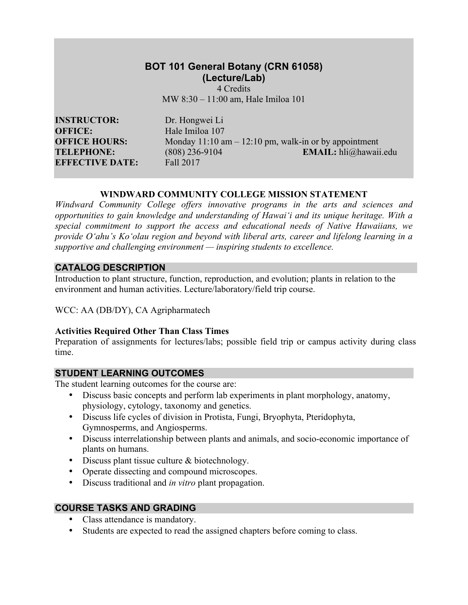# **BOT 101 General Botany (CRN 61058) (Lecture/Lab)**

4 Credits MW 8:30 – 11:00 am, Hale Imiloa 101

**INSTRUCTOR:** Dr. Hongwei Li **OFFICE:** Hale Imiloa 107 **EFFECTIVE DATE:** Fall 2017

**OFFICE HOURS:** Monday 11:10 am – 12:10 pm, walk-in or by appointment **TELEPHONE:** (808) 236-9104 **EMAIL:** hli@hawaii.edu

#### **WINDWARD COMMUNITY COLLEGE MISSION STATEMENT**

*Windward Community College offers innovative programs in the arts and sciences and opportunities to gain knowledge and understanding of Hawai'i and its unique heritage. With a special commitment to support the access and educational needs of Native Hawaiians, we provide O'ahu's Ko'olau region and beyond with liberal arts, career and lifelong learning in a supportive and challenging environment — inspiring students to excellence.*

### **CATALOG DESCRIPTION**

Introduction to plant structure, function, reproduction, and evolution; plants in relation to the environment and human activities. Lecture/laboratory/field trip course.

WCC: AA (DB/DY), CA Agripharmatech

# **Activities Required Other Than Class Times**

Preparation of assignments for lectures/labs; possible field trip or campus activity during class time.

# **STUDENT LEARNING OUTCOMES**

The student learning outcomes for the course are:

- Discuss basic concepts and perform lab experiments in plant morphology, anatomy, physiology, cytology, taxonomy and genetics.
- Discuss life cycles of division in Protista, Fungi, Bryophyta, Pteridophyta, Gymnosperms, and Angiosperms.
- Discuss interrelationship between plants and animals, and socio-economic importance of plants on humans.
- Discuss plant tissue culture & biotechnology.
- Operate dissecting and compound microscopes.
- Discuss traditional and *in vitro* plant propagation.

# **COURSE TASKS AND GRADING**

- Class attendance is mandatory.
- Students are expected to read the assigned chapters before coming to class.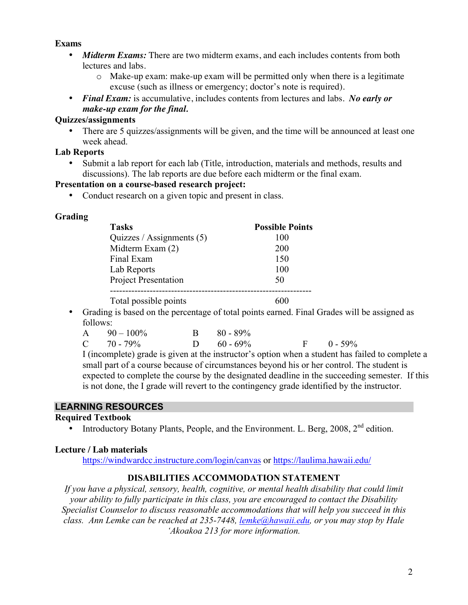### **Exams**

- *Midterm Exams:* There are two midterm exams, and each includes contents from both lectures and labs.
	- o Make-up exam: make-up exam will be permitted only when there is a legitimate excuse (such as illness or emergency; doctor's note is required).
- *Final Exam:* is accumulative, includes contents from lectures and labs. *No early or make-up exam for the final.*

### **Quizzes/assignments**

• There are 5 quizzes/assignments will be given, and the time will be announced at least one week ahead.

### **Lab Reports**

• Submit a lab report for each lab (Title, introduction, materials and methods, results and discussions). The lab reports are due before each midterm or the final exam.

### **Presentation on a course-based research project:**

• Conduct research on a given topic and present in class.

### **Grading**

| <b>Tasks</b>                | <b>Possible Points</b> |
|-----------------------------|------------------------|
| Quizzes / Assignments $(5)$ | 100                    |
| Midterm Exam (2)            | 200                    |
| Final Exam                  | 150                    |
| Lab Reports                 | 100                    |
| <b>Project Presentation</b> | 50                     |
|                             |                        |
| Total possible points       |                        |

• Grading is based on the percentage of total points earned. Final Grades will be assigned as follows:

| $A = 90 - 100\%$ | $B = 80 - 89\%$ |                |
|------------------|-----------------|----------------|
| $C = 70 - 79\%$  | D $60 - 69\%$   | $F = 0 - 59\%$ |

I (incomplete) grade is given at the instructor's option when a student has failed to complete a small part of a course because of circumstances beyond his or her control. The student is expected to complete the course by the designated deadline in the succeeding semester. If this is not done, the I grade will revert to the contingency grade identified by the instructor.

# **LEARNING RESOURCES**

#### **Required Textbook**

• Introductory Botany Plants, People, and the Environment. L. Berg,  $2008$ ,  $2<sup>nd</sup>$  edition.

#### **Lecture / Lab materials**

https://windwardcc.instructure.com/login/canvas or https://laulima.hawaii.edu/

# **DISABILITIES ACCOMMODATION STATEMENT**

*If you have a physical, sensory, health, cognitive, or mental health disability that could limit your ability to fully participate in this class, you are encouraged to contact the Disability Specialist Counselor to discuss reasonable accommodations that will help you succeed in this class. Ann Lemke can be reached at 235-7448, lemke@hawaii.edu, or you may stop by Hale 'Akoakoa 213 for more information.*